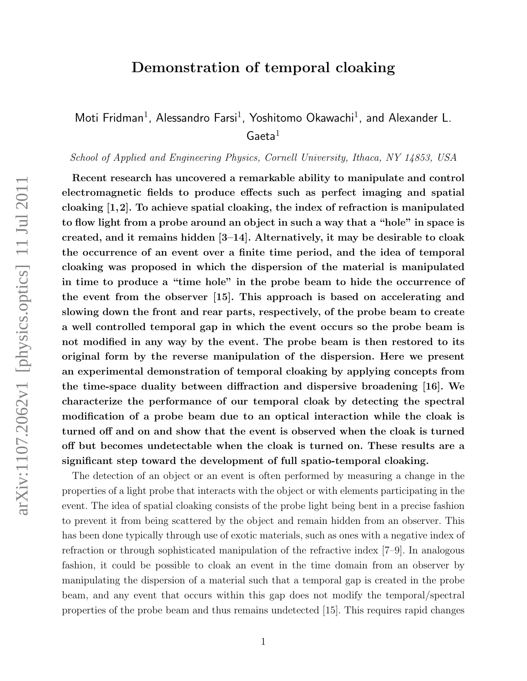## Demonstration of temporal cloaking

Moti Fridman<sup>1</sup>, Alessandro Farsi<sup>1</sup>, Yoshitomo Okawachi<sup>1</sup>, and Alexander L.  $Gaeta^1$ 

School of Applied and Engineering Physics, Cornell University, Ithaca, NY 14853, USA

Recent research has uncovered a remarkable ability to manipulate and control electromagnetic fields to produce effects such as perfect imaging and spatial cloaking  $[1,2]$ . To achieve spatial cloaking, the index of refraction is manipulated to flow light from a probe around an object in such a way that a "hole" in space is created, and it remains hidden [3–14]. Alternatively, it may be desirable to cloak the occurrence of an event over a finite time period, and the idea of temporal cloaking was proposed in which the dispersion of the material is manipulated in time to produce a "time hole" in the probe beam to hide the occurrence of the event from the observer [15]. This approach is based on accelerating and slowing down the front and rear parts, respectively, of the probe beam to create a well controlled temporal gap in which the event occurs so the probe beam is not modified in any way by the event. The probe beam is then restored to its original form by the reverse manipulation of the dispersion. Here we present an experimental demonstration of temporal cloaking by applying concepts from the time-space duality between diffraction and dispersive broadening [16]. We characterize the performance of our temporal cloak by detecting the spectral modification of a probe beam due to an optical interaction while the cloak is turned off and on and show that the event is observed when the cloak is turned off but becomes undetectable when the cloak is turned on. These results are a significant step toward the development of full spatio-temporal cloaking.

The detection of an object or an event is often performed by measuring a change in the properties of a light probe that interacts with the object or with elements participating in the event. The idea of spatial cloaking consists of the probe light being bent in a precise fashion to prevent it from being scattered by the object and remain hidden from an observer. This has been done typically through use of exotic materials, such as ones with a negative index of refraction or through sophisticated manipulation of the refractive index [7–9]. In analogous fashion, it could be possible to cloak an event in the time domain from an observer by manipulating the dispersion of a material such that a temporal gap is created in the probe beam, and any event that occurs within this gap does not modify the temporal/spectral properties of the probe beam and thus remains undetected [15]. This requires rapid changes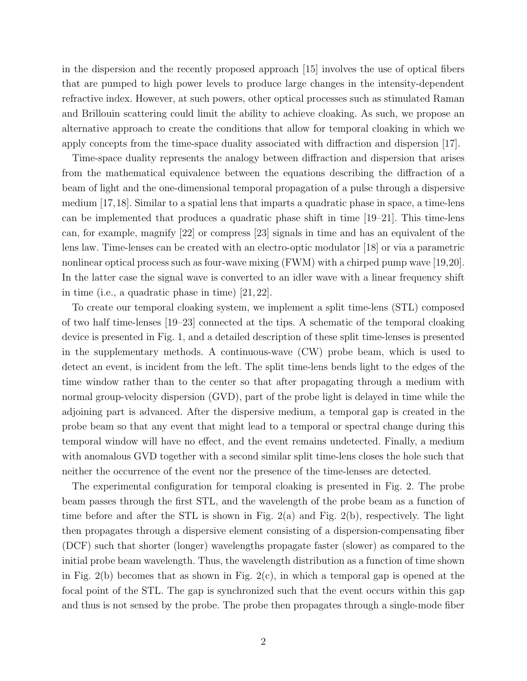in the dispersion and the recently proposed approach [15] involves the use of optical fibers that are pumped to high power levels to produce large changes in the intensity-dependent refractive index. However, at such powers, other optical processes such as stimulated Raman and Brillouin scattering could limit the ability to achieve cloaking. As such, we propose an alternative approach to create the conditions that allow for temporal cloaking in which we apply concepts from the time-space duality associated with diffraction and dispersion [17].

Time-space duality represents the analogy between diffraction and dispersion that arises from the mathematical equivalence between the equations describing the diffraction of a beam of light and the one-dimensional temporal propagation of a pulse through a dispersive medium [17,18]. Similar to a spatial lens that imparts a quadratic phase in space, a time-lens can be implemented that produces a quadratic phase shift in time [19–21]. This time-lens can, for example, magnify [22] or compress [23] signals in time and has an equivalent of the lens law. Time-lenses can be created with an electro-optic modulator [18] or via a parametric nonlinear optical process such as four-wave mixing (FWM) with a chirped pump wave [19,20]. In the latter case the signal wave is converted to an idler wave with a linear frequency shift in time (i.e., a quadratic phase in time) [21, 22].

To create our temporal cloaking system, we implement a split time-lens (STL) composed of two half time-lenses [19–23] connected at the tips. A schematic of the temporal cloaking device is presented in Fig. 1, and a detailed description of these split time-lenses is presented in the supplementary methods. A continuous-wave (CW) probe beam, which is used to detect an event, is incident from the left. The split time-lens bends light to the edges of the time window rather than to the center so that after propagating through a medium with normal group-velocity dispersion (GVD), part of the probe light is delayed in time while the adjoining part is advanced. After the dispersive medium, a temporal gap is created in the probe beam so that any event that might lead to a temporal or spectral change during this temporal window will have no effect, and the event remains undetected. Finally, a medium with anomalous GVD together with a second similar split time-lens closes the hole such that neither the occurrence of the event nor the presence of the time-lenses are detected.

The experimental configuration for temporal cloaking is presented in Fig. 2. The probe beam passes through the first STL, and the wavelength of the probe beam as a function of time before and after the STL is shown in Fig.  $2(a)$  and Fig.  $2(b)$ , respectively. The light then propagates through a dispersive element consisting of a dispersion-compensating fiber (DCF) such that shorter (longer) wavelengths propagate faster (slower) as compared to the initial probe beam wavelength. Thus, the wavelength distribution as a function of time shown in Fig.  $2(b)$  becomes that as shown in Fig.  $2(c)$ , in which a temporal gap is opened at the focal point of the STL. The gap is synchronized such that the event occurs within this gap and thus is not sensed by the probe. The probe then propagates through a single-mode fiber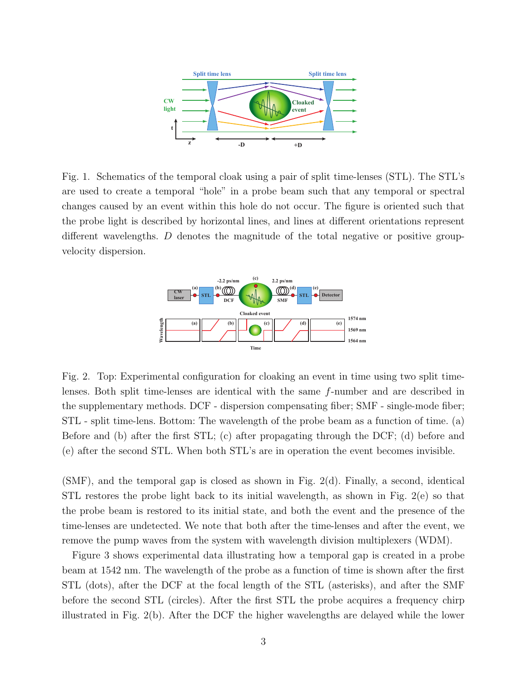

Fig. 1. Schematics of the temporal cloak using a pair of split time-lenses (STL). The STL's are used to create a temporal "hole" in a probe beam such that any temporal or spectral changes caused by an event within this hole do not occur. The figure is oriented such that the probe light is described by horizontal lines, and lines at different orientations represent different wavelengths. D denotes the magnitude of the total negative or positive groupvelocity dispersion.



Fig. 2. Top: Experimental configuration for cloaking an event in time using two split timelenses. Both split time-lenses are identical with the same f-number and are described in the supplementary methods. DCF - dispersion compensating fiber; SMF - single-mode fiber; STL - split time-lens. Bottom: The wavelength of the probe beam as a function of time. (a) Before and (b) after the first STL; (c) after propagating through the DCF; (d) before and (e) after the second STL. When both STL's are in operation the event becomes invisible.

(SMF), and the temporal gap is closed as shown in Fig. 2(d). Finally, a second, identical STL restores the probe light back to its initial wavelength, as shown in Fig. 2(e) so that the probe beam is restored to its initial state, and both the event and the presence of the time-lenses are undetected. We note that both after the time-lenses and after the event, we remove the pump waves from the system with wavelength division multiplexers (WDM).

Figure 3 shows experimental data illustrating how a temporal gap is created in a probe beam at 1542 nm. The wavelength of the probe as a function of time is shown after the first STL (dots), after the DCF at the focal length of the STL (asterisks), and after the SMF before the second STL (circles). After the first STL the probe acquires a frequency chirp illustrated in Fig. 2(b). After the DCF the higher wavelengths are delayed while the lower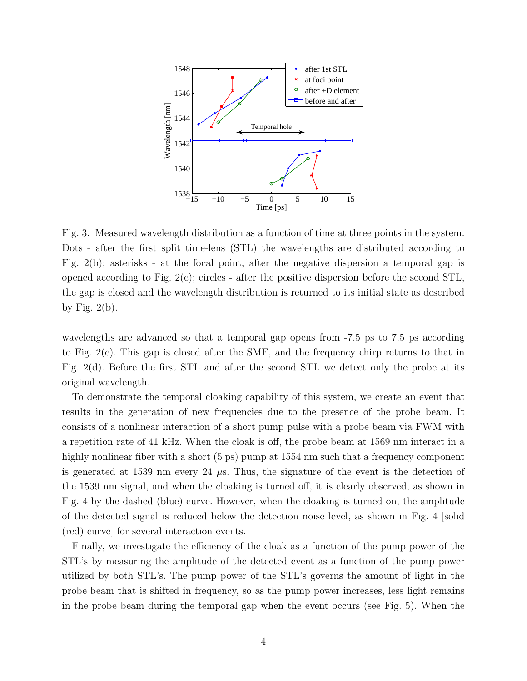

Fig. 3. Measured wavelength distribution as a function of time at three points in the system. Dots - after the first split time-lens (STL) the wavelengths are distributed according to Fig. 2(b); asterisks - at the focal point, after the negative dispersion a temporal gap is opened according to Fig. 2(c); circles - after the positive dispersion before the second STL, the gap is closed and the wavelength distribution is returned to its initial state as described by Fig.  $2(b)$ .

wavelengths are advanced so that a temporal gap opens from -7.5 ps to 7.5 ps according to Fig. 2(c). This gap is closed after the SMF, and the frequency chirp returns to that in Fig. 2(d). Before the first STL and after the second STL we detect only the probe at its original wavelength.

To demonstrate the temporal cloaking capability of this system, we create an event that results in the generation of new frequencies due to the presence of the probe beam. It consists of a nonlinear interaction of a short pump pulse with a probe beam via FWM with a repetition rate of 41 kHz. When the cloak is off, the probe beam at 1569 nm interact in a highly nonlinear fiber with a short (5 ps) pump at 1554 nm such that a frequency component is generated at 1539 nm every 24  $\mu$ s. Thus, the signature of the event is the detection of the 1539 nm signal, and when the cloaking is turned off, it is clearly observed, as shown in Fig. 4 by the dashed (blue) curve. However, when the cloaking is turned on, the amplitude of the detected signal is reduced below the detection noise level, as shown in Fig. 4 [solid (red) curve] for several interaction events.

Finally, we investigate the efficiency of the cloak as a function of the pump power of the STL's by measuring the amplitude of the detected event as a function of the pump power utilized by both STL's. The pump power of the STL's governs the amount of light in the probe beam that is shifted in frequency, so as the pump power increases, less light remains in the probe beam during the temporal gap when the event occurs (see Fig. 5). When the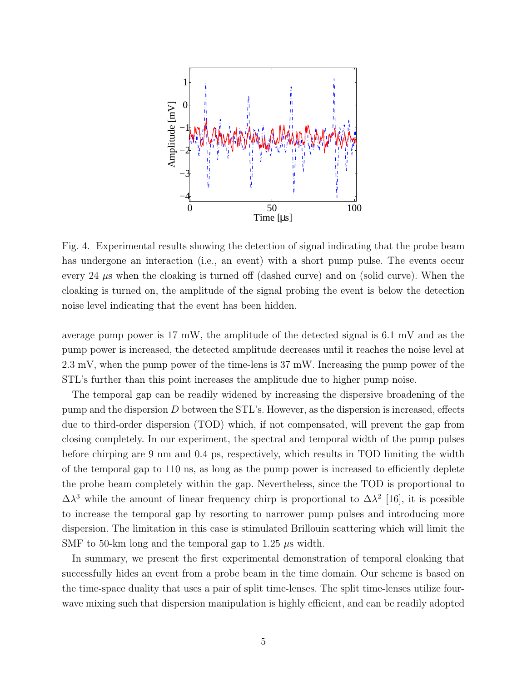

Fig. 4. Experimental results showing the detection of signal indicating that the probe beam has undergone an interaction (i.e., an event) with a short pump pulse. The events occur every 24 µs when the cloaking is turned off (dashed curve) and on (solid curve). When the cloaking is turned on, the amplitude of the signal probing the event is below the detection noise level indicating that the event has been hidden.

average pump power is 17 mW, the amplitude of the detected signal is 6.1 mV and as the pump power is increased, the detected amplitude decreases until it reaches the noise level at 2.3 mV, when the pump power of the time-lens is 37 mW. Increasing the pump power of the STL's further than this point increases the amplitude due to higher pump noise.

The temporal gap can be readily widened by increasing the dispersive broadening of the pump and the dispersion  $D$  between the STL's. However, as the dispersion is increased, effects due to third-order dispersion (TOD) which, if not compensated, will prevent the gap from closing completely. In our experiment, the spectral and temporal width of the pump pulses before chirping are 9 nm and 0.4 ps, respectively, which results in TOD limiting the width of the temporal gap to 110 ns, as long as the pump power is increased to efficiently deplete the probe beam completely within the gap. Nevertheless, since the TOD is proportional to  $\Delta\lambda^3$  while the amount of linear frequency chirp is proportional to  $\Delta\lambda^2$  [16], it is possible to increase the temporal gap by resorting to narrower pump pulses and introducing more dispersion. The limitation in this case is stimulated Brillouin scattering which will limit the SMF to 50-km long and the temporal gap to 1.25  $\mu$ s width.

In summary, we present the first experimental demonstration of temporal cloaking that successfully hides an event from a probe beam in the time domain. Our scheme is based on the time-space duality that uses a pair of split time-lenses. The split time-lenses utilize fourwave mixing such that dispersion manipulation is highly efficient, and can be readily adopted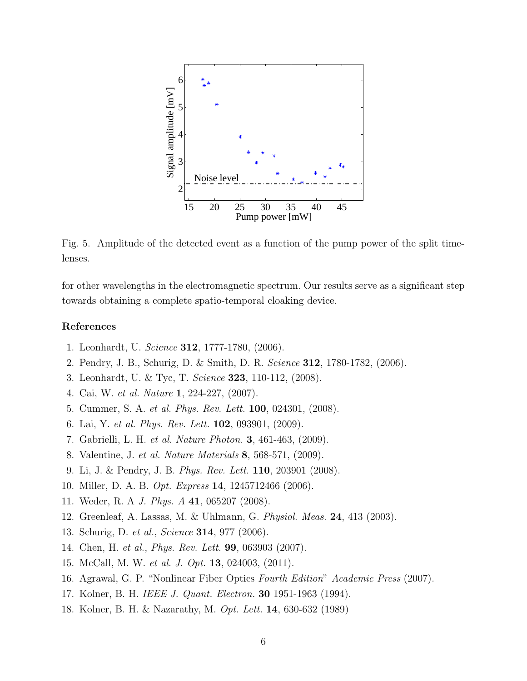

Fig. 5. Amplitude of the detected event as a function of the pump power of the split timelenses.

for other wavelengths in the electromagnetic spectrum. Our results serve as a significant step towards obtaining a complete spatio-temporal cloaking device.

## References

- 1. Leonhardt, U. Science 312, 1777-1780, (2006).
- 2. Pendry, J. B., Schurig, D. & Smith, D. R. Science 312, 1780-1782, (2006).
- 3. Leonhardt, U. & Tyc, T. Science 323, 110-112, (2008).
- 4. Cai, W. et al. Nature 1, 224-227, (2007).
- 5. Cummer, S. A. et al. Phys. Rev. Lett. 100, 024301, (2008).
- 6. Lai, Y. et al. Phys. Rev. Lett. 102, 093901, (2009).
- 7. Gabrielli, L. H. et al. Nature Photon. 3, 461-463, (2009).
- 8. Valentine, J. et al. Nature Materials 8, 568-571, (2009).
- 9. Li, J. & Pendry, J. B. Phys. Rev. Lett. 110, 203901 (2008).
- 10. Miller, D. A. B. Opt. Express 14, 1245712466 (2006).
- 11. Weder, R. A J. Phys. A 41, 065207 (2008).
- 12. Greenleaf, A. Lassas, M. & Uhlmann, G. Physiol. Meas. 24, 413 (2003).
- 13. Schurig, D. et al., Science 314, 977 (2006).
- 14. Chen, H. et al., Phys. Rev. Lett. 99, 063903 (2007).
- 15. McCall, M. W. et al. J. Opt. 13, 024003, (2011).
- 16. Agrawal, G. P. "Nonlinear Fiber Optics Fourth Edition" Academic Press (2007).
- 17. Kolner, B. H. IEEE J. Quant. Electron. 30 1951-1963 (1994).
- 18. Kolner, B. H. & Nazarathy, M. Opt. Lett. 14, 630-632 (1989)